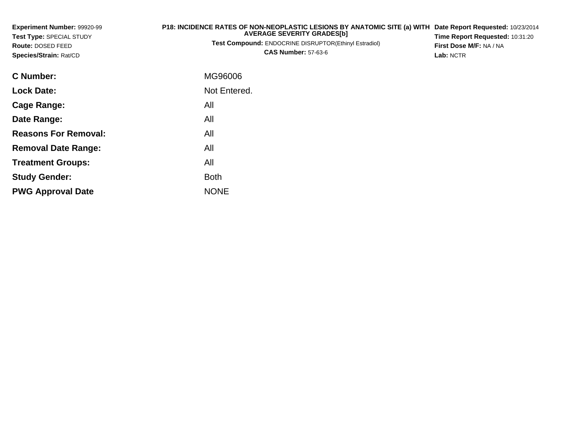| Experiment Number: 99920-99<br>Test Type: SPECIAL STUDY<br>Route: DOSED FEED<br>Species/Strain: Rat/CD | P18: INCIDENCE RATES OF NON-NEOPLASTIC LESIONS BY ANATOMIC SITE (a) WITH Date Report Requested: 10/23/2014<br><b>AVERAGE SEVERITY GRADES[b]</b><br>Test Compound: ENDOCRINE DISRUPTOR(Ethinyl Estradiol)<br><b>CAS Number: 57-63-6</b> | Time Report Requested: 10:31:20<br>First Dose M/F: NA / NA<br>Lab: NCTR |
|--------------------------------------------------------------------------------------------------------|----------------------------------------------------------------------------------------------------------------------------------------------------------------------------------------------------------------------------------------|-------------------------------------------------------------------------|
| <b>C</b> Number:                                                                                       | MG96006                                                                                                                                                                                                                                |                                                                         |
| <b>Lock Date:</b>                                                                                      | Not Entered.                                                                                                                                                                                                                           |                                                                         |
| <b>Cage Range:</b>                                                                                     | All                                                                                                                                                                                                                                    |                                                                         |
| Date Range:                                                                                            | All                                                                                                                                                                                                                                    |                                                                         |
| <b>Reasons For Removal:</b>                                                                            | All                                                                                                                                                                                                                                    |                                                                         |
| <b>Removal Date Range:</b>                                                                             | All                                                                                                                                                                                                                                    |                                                                         |
| <b>Treatment Groups:</b>                                                                               | All                                                                                                                                                                                                                                    |                                                                         |

Both

e NONE

**Study Gender:**

**PWG Approval Date**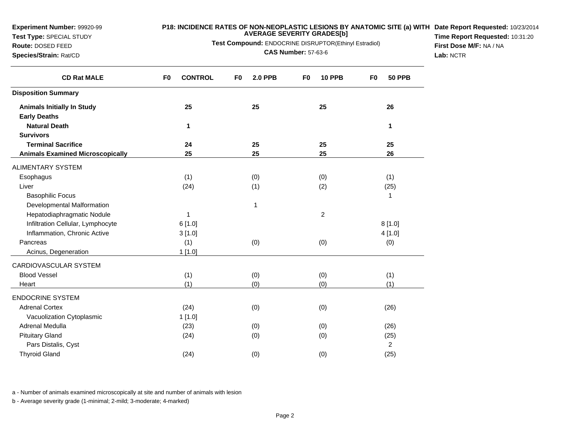**Test Type:** SPECIAL STUDY

### **P18: INCIDENCE RATES OF NON-NEOPLASTIC LESIONS BY ANATOMIC SITE (a) WITH AVERAGE SEVERITY GRADES[b] Date Report Requested:** 10/23/2014

**Test Compound:** ENDOCRINE DISRUPTOR(Ethinyl Estradiol)

**Route:** DOSED FEED**Species/Strain:** Rat/CD

**CAS Number:** 57-63-6

**Time Report Requested:** 10:31:20**First Dose M/F:** NA / NA**Lab:** NCTR

| <b>CONTROL</b><br>F <sub>0</sub> | F <sub>0</sub><br><b>2.0 PPB</b> | <b>10 PPB</b><br>F <sub>0</sub> | <b>50 PPB</b><br>F <sub>0</sub> |
|----------------------------------|----------------------------------|---------------------------------|---------------------------------|
|                                  |                                  |                                 |                                 |
| 25                               | 25                               | 25                              | 26                              |
|                                  |                                  |                                 |                                 |
| 1                                |                                  |                                 | 1                               |
|                                  |                                  |                                 |                                 |
|                                  |                                  |                                 | 25                              |
| 25                               | 25                               | 25                              | 26                              |
|                                  |                                  |                                 |                                 |
| (1)                              | (0)                              | (0)                             | (1)                             |
| (24)                             | (1)                              | (2)                             | (25)                            |
|                                  |                                  |                                 | 1                               |
|                                  | $\mathbf 1$                      |                                 |                                 |
| 1                                |                                  | $\overline{2}$                  |                                 |
| 6[1.0]                           |                                  |                                 | 8[1.0]                          |
| 3[1.0]                           |                                  |                                 | 4 [1.0]                         |
| (1)                              | (0)                              | (0)                             | (0)                             |
| 1[1.0]                           |                                  |                                 |                                 |
|                                  |                                  |                                 |                                 |
|                                  |                                  |                                 | (1)                             |
| (1)                              | (0)                              | (0)                             | (1)                             |
|                                  |                                  |                                 |                                 |
| (24)                             | (0)                              | (0)                             | (26)                            |
| 1[1.0]                           |                                  |                                 |                                 |
| (23)                             | (0)                              | (0)                             | (26)                            |
| (24)                             |                                  |                                 | (25)                            |
|                                  |                                  |                                 | 2                               |
| (24)                             | (0)                              | (0)                             | (25)                            |
|                                  | 24<br>(1)                        | 25<br>(0)<br>(0)                | 25<br>(0)<br>(0)                |

a - Number of animals examined microscopically at site and number of animals with lesion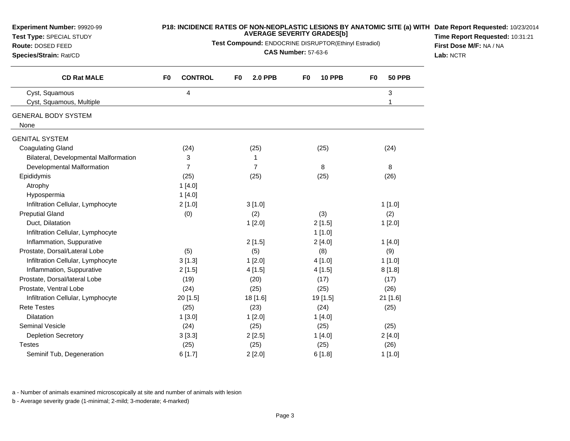| Experiment Number: 99920-99<br>Test Type: SPECIAL STUDY<br>Route: DOSED FEED<br>Species/Strain: Rat/CD | P18: INCIDENCE RATES OF NON-NEOPLASTIC LESIONS BY ANATOMIC SITE (a) WITH Date Report Requested: 10/23/2014<br><b>AVERAGE SEVERITY GRADES[b]</b><br>Test Compound: ENDOCRINE DISRUPTOR(Ethinyl Estradiol)<br><b>CAS Number: 57-63-6</b> |                                  |                                 |                                 | Time Report Requested: 10:31:21<br>First Dose M/F: NA / NA<br>Lab: NCTR |
|--------------------------------------------------------------------------------------------------------|----------------------------------------------------------------------------------------------------------------------------------------------------------------------------------------------------------------------------------------|----------------------------------|---------------------------------|---------------------------------|-------------------------------------------------------------------------|
| <b>CD Rat MALE</b>                                                                                     | <b>CONTROL</b><br>F <sub>0</sub>                                                                                                                                                                                                       | <b>2.0 PPB</b><br>F <sub>0</sub> | <b>10 PPB</b><br>F <sub>0</sub> | F <sub>0</sub><br><b>50 PPB</b> |                                                                         |
| Cyst, Squamous<br>Cyst, Squamous, Multiple                                                             | 4                                                                                                                                                                                                                                      |                                  |                                 | $\mathbf 3$                     |                                                                         |
| <b>GENERAL BODY SYSTEM</b><br>None                                                                     |                                                                                                                                                                                                                                        |                                  |                                 |                                 |                                                                         |
| <b>GENITAL SYSTEM</b>                                                                                  |                                                                                                                                                                                                                                        |                                  |                                 |                                 |                                                                         |
| <b>Coagulating Gland</b>                                                                               | (24)                                                                                                                                                                                                                                   | (25)                             | (25)                            | (24)                            |                                                                         |
| Bilateral, Developmental Malformation                                                                  | 3                                                                                                                                                                                                                                      | 1                                |                                 |                                 |                                                                         |
| Developmental Malformation                                                                             | $\overline{7}$                                                                                                                                                                                                                         | 7                                | 8                               | 8                               |                                                                         |
| Epididymis                                                                                             | (25)                                                                                                                                                                                                                                   | (25)                             | (25)                            | (26)                            |                                                                         |
| Atrophy                                                                                                | 1[4.0]                                                                                                                                                                                                                                 |                                  |                                 |                                 |                                                                         |
| Hypospermia                                                                                            | 1[4.0]                                                                                                                                                                                                                                 |                                  |                                 |                                 |                                                                         |
| Infiltration Cellular, Lymphocyte                                                                      | 2[1.0]                                                                                                                                                                                                                                 | 3[1.0]                           |                                 | 1[1.0]                          |                                                                         |
| <b>Preputial Gland</b>                                                                                 | (0)                                                                                                                                                                                                                                    | (2)                              | (3)                             | (2)                             |                                                                         |
| Duct, Dilatation                                                                                       |                                                                                                                                                                                                                                        | 1[2.0]                           | 2[1.5]                          | 1[2.0]                          |                                                                         |
| Infiltration Cellular, Lymphocyte                                                                      |                                                                                                                                                                                                                                        |                                  | 1[1.0]                          |                                 |                                                                         |
| Inflammation, Suppurative                                                                              |                                                                                                                                                                                                                                        | 2[1.5]                           | 2[4.0]                          | 1[4.0]                          |                                                                         |
| Prostate, Dorsal/Lateral Lobe                                                                          | (5)                                                                                                                                                                                                                                    | (5)                              | (8)                             | (9)                             |                                                                         |
| Infiltration Cellular, Lymphocyte                                                                      | 3[1.3]                                                                                                                                                                                                                                 | 1[2.0]                           | 4[1.0]                          | 1[1.0]                          |                                                                         |
| Inflammation, Suppurative                                                                              | 2[1.5]                                                                                                                                                                                                                                 | 4[1.5]                           | 4[1.5]                          | 8[1.8]                          |                                                                         |
| Prostate, Dorsal/lateral Lobe                                                                          | (19)                                                                                                                                                                                                                                   | (20)                             | (17)                            | (17)                            |                                                                         |
| Prostate, Ventral Lobe                                                                                 | (24)                                                                                                                                                                                                                                   | (25)                             | (25)                            | (26)                            |                                                                         |
| Infiltration Cellular, Lymphocyte                                                                      | 20 [1.5]                                                                                                                                                                                                                               | 18 [1.6]                         | 19 [1.5]                        | 21 [1.6]                        |                                                                         |
| <b>Rete Testes</b>                                                                                     | (25)                                                                                                                                                                                                                                   | (23)                             | (24)                            | (25)                            |                                                                         |
| Dilatation                                                                                             | 1[3.0]                                                                                                                                                                                                                                 | 1[2.0]                           | 1[4.0]                          |                                 |                                                                         |
| Seminal Vesicle                                                                                        | (24)                                                                                                                                                                                                                                   | (25)                             | (25)                            | (25)                            |                                                                         |
| <b>Depletion Secretory</b>                                                                             | 3[3.3]                                                                                                                                                                                                                                 | 2[2.5]                           | 1[4.0]                          | 2[4.0]                          |                                                                         |
| <b>Testes</b>                                                                                          | (25)                                                                                                                                                                                                                                   | (25)                             | (25)                            | (26)                            |                                                                         |
| Seminif Tub, Degeneration                                                                              | 6[1.7]                                                                                                                                                                                                                                 | 2[2.0]                           | 6[1.8]                          | 1[1.0]                          |                                                                         |

a - Number of animals examined microscopically at site and number of animals with lesion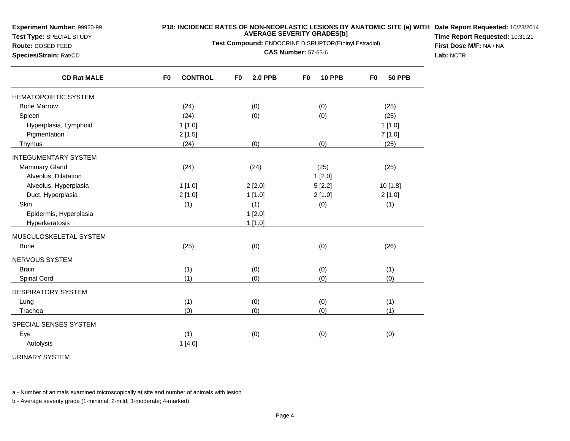**Test Type:** SPECIAL STUDY

## **P18: INCIDENCE RATES OF NON-NEOPLASTIC LESIONS BY ANATOMIC SITE (a) WITH AVERAGE SEVERITY GRADES[b] Date Report Requested:** 10/23/2014

**Test Compound:** ENDOCRINE DISRUPTOR(Ethinyl Estradiol)

**Route:** DOSED FEED**Species/Strain:** Rat/CD

**CAS Number:** 57-63-6

**Time Report Requested:** 10:31:21**First Dose M/F:** NA / NA**Lab:** NCTR

| <b>CD Rat MALE</b>          | <b>CONTROL</b><br>F <sub>0</sub> | F <sub>0</sub><br><b>2.0 PPB</b> | <b>10 PPB</b><br>F0 | <b>50 PPB</b><br>F0 |
|-----------------------------|----------------------------------|----------------------------------|---------------------|---------------------|
| <b>HEMATOPOIETIC SYSTEM</b> |                                  |                                  |                     |                     |
| <b>Bone Marrow</b>          | (24)                             | (0)                              | (0)                 | (25)                |
| Spleen                      | (24)                             | (0)                              | (0)                 | (25)                |
| Hyperplasia, Lymphoid       | 1[1.0]                           |                                  |                     | 1[1.0]              |
| Pigmentation                | 2[1.5]                           |                                  |                     | 7[1.0]              |
| Thymus                      | (24)                             | (0)                              | (0)                 | (25)                |
| <b>INTEGUMENTARY SYSTEM</b> |                                  |                                  |                     |                     |
| <b>Mammary Gland</b>        | (24)                             | (24)                             | (25)                | (25)                |
| Alveolus, Dilatation        |                                  |                                  | 1[2.0]              |                     |
| Alveolus, Hyperplasia       | 1[1.0]                           | 2[2.0]                           | 5[2.2]              | 10 [1.8]            |
| Duct, Hyperplasia           | 2[1.0]                           | 1[1.0]                           | 2[1.0]              | 2[1.0]              |
| Skin                        | (1)                              | (1)                              | (0)                 | (1)                 |
| Epidermis, Hyperplasia      |                                  | 1[2.0]                           |                     |                     |
| Hyperkeratosis              |                                  | 1[1.0]                           |                     |                     |
| MUSCULOSKELETAL SYSTEM      |                                  |                                  |                     |                     |
| <b>Bone</b>                 | (25)                             | (0)                              | (0)                 | (26)                |
| <b>NERVOUS SYSTEM</b>       |                                  |                                  |                     |                     |
| <b>Brain</b>                | (1)                              | (0)                              | (0)                 | (1)                 |
| Spinal Cord                 | (1)                              | (0)                              | (0)                 | (0)                 |
| <b>RESPIRATORY SYSTEM</b>   |                                  |                                  |                     |                     |
| Lung                        | (1)                              | (0)                              | (0)                 | (1)                 |
| Trachea                     | (0)                              | (0)                              | (0)                 | (1)                 |
| SPECIAL SENSES SYSTEM       |                                  |                                  |                     |                     |
| Eye                         | (1)                              | (0)                              | (0)                 | (0)                 |
| Autolysis                   | 1[4.0]                           |                                  |                     |                     |

URINARY SYSTEM

a - Number of animals examined microscopically at site and number of animals with lesion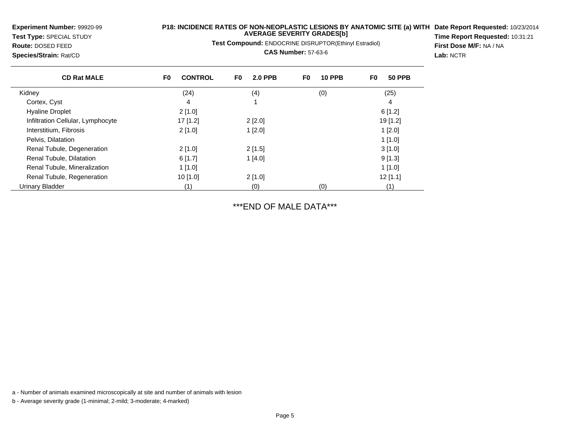**Test Type:** SPECIAL STUDY**Route:** DOSED FEED

**Species/Strain:** Rat/CD

# **P18: INCIDENCE RATES OF NON-NEOPLASTIC LESIONS BY ANATOMIC SITE (a) WITH AVERAGE SEVERITY GRADES[b] Date Report Requested:** 10/23/2014

**Test Compound:** ENDOCRINE DISRUPTOR(Ethinyl Estradiol)

**CAS Number:** 57-63-6

**Time Report Requested:** 10:31:21**First Dose M/F:** NA / NA**Lab:** NCTR

| <b>CD Rat MALE</b>                | <b>CONTROL</b><br>F <sub>0</sub> | F <sub>0</sub><br><b>2.0 PPB</b> | <b>10 PPB</b><br>F0 | <b>50 PPB</b><br>F0 |
|-----------------------------------|----------------------------------|----------------------------------|---------------------|---------------------|
| Kidney                            | (24)                             | (4)                              | (0)                 | (25)                |
| Cortex, Cyst                      | 4                                |                                  |                     | 4                   |
| <b>Hyaline Droplet</b>            | 2[1.0]                           |                                  |                     | 6[1.2]              |
| Infiltration Cellular, Lymphocyte | 17 [1.2]                         | 2[2.0]                           |                     | 19 [1.2]            |
| Interstitium, Fibrosis            | 2[1.0]                           | 1[2.0]                           |                     | 1[2.0]              |
| Pelvis, Dilatation                |                                  |                                  |                     | 1[1.0]              |
| Renal Tubule, Degeneration        | $2$ [1.0]                        | 2[1.5]                           |                     | 3[1.0]              |
| Renal Tubule, Dilatation          | 6[1.7]                           | 1[4.0]                           |                     | 9[1.3]              |
| Renal Tubule, Mineralization      | 1[1.0]                           |                                  |                     | 1[1.0]              |
| Renal Tubule, Regeneration        | $10$ [1.0]                       | 2[1.0]                           |                     | $12$ [1.1]          |
| Urinary Bladder                   | (1)                              | (0)                              | (0)                 | (1)                 |

\*\*\*END OF MALE DATA\*\*\*

a - Number of animals examined microscopically at site and number of animals with lesion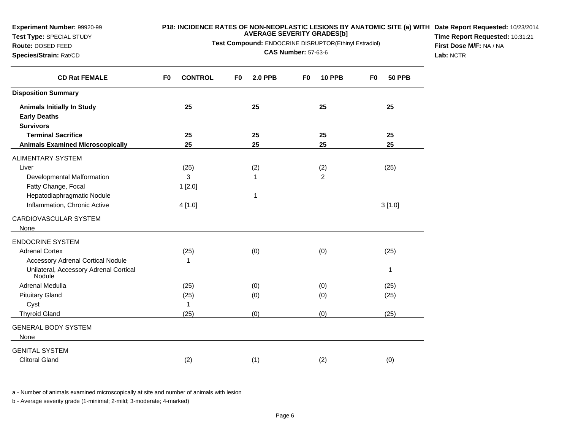**Test Type:** SPECIAL STUDY

#### **P18: INCIDENCE RATES OF NON-NEOPLASTIC LESIONS BY ANATOMIC SITE (a) WITH AVERAGE SEVERITY GRADES[b] Date Report Requested:** 10/23/2014

**Test Compound:** ENDOCRINE DISRUPTOR(Ethinyl Estradiol)

**Route:** DOSED FEED**Species/Strain:** Rat/CD

**CAS Number:** 57-63-6

**Time Report Requested:** 10:31:21**First Dose M/F:** NA / NA**Lab:** NCTR

| <b>CD Rat FEMALE</b>                                    | <b>CONTROL</b><br>F <sub>0</sub> | <b>2.0 PPB</b><br>F0 | <b>10 PPB</b><br>F <sub>0</sub> | <b>50 PPB</b><br>F <sub>0</sub> |
|---------------------------------------------------------|----------------------------------|----------------------|---------------------------------|---------------------------------|
| <b>Disposition Summary</b>                              |                                  |                      |                                 |                                 |
| <b>Animals Initially In Study</b>                       | 25                               | 25                   | 25                              | 25                              |
| <b>Early Deaths</b>                                     |                                  |                      |                                 |                                 |
| <b>Survivors</b>                                        |                                  |                      |                                 |                                 |
| <b>Terminal Sacrifice</b>                               | 25                               | 25                   | 25                              | 25                              |
| <b>Animals Examined Microscopically</b>                 | 25                               | 25                   | 25                              | 25                              |
| <b>ALIMENTARY SYSTEM</b>                                |                                  |                      |                                 |                                 |
| Liver                                                   | (25)                             | (2)                  | (2)                             | (25)                            |
| Developmental Malformation                              | 3                                | 1                    | $\overline{c}$                  |                                 |
| Fatty Change, Focal                                     | 1[2.0]                           |                      |                                 |                                 |
| Hepatodiaphragmatic Nodule                              |                                  | 1                    |                                 |                                 |
| Inflammation, Chronic Active                            | 4 [1.0]                          |                      |                                 | 3[1.0]                          |
| CARDIOVASCULAR SYSTEM                                   |                                  |                      |                                 |                                 |
| None                                                    |                                  |                      |                                 |                                 |
| <b>ENDOCRINE SYSTEM</b>                                 |                                  |                      |                                 |                                 |
| <b>Adrenal Cortex</b>                                   | (25)                             | (0)                  | (0)                             | (25)                            |
| <b>Accessory Adrenal Cortical Nodule</b>                | 1                                |                      |                                 |                                 |
| Unilateral, Accessory Adrenal Cortical<br><b>Nodule</b> |                                  |                      |                                 | 1                               |
| Adrenal Medulla                                         | (25)                             | (0)                  | (0)                             | (25)                            |
| <b>Pituitary Gland</b>                                  | (25)                             | (0)                  | (0)                             | (25)                            |
| Cyst                                                    | 1                                |                      |                                 |                                 |
| <b>Thyroid Gland</b>                                    | (25)                             | (0)                  | (0)                             | (25)                            |
| <b>GENERAL BODY SYSTEM</b>                              |                                  |                      |                                 |                                 |
| None                                                    |                                  |                      |                                 |                                 |
| <b>GENITAL SYSTEM</b>                                   |                                  |                      |                                 |                                 |
| <b>Clitoral Gland</b>                                   | (2)                              | (1)                  | (2)                             | (0)                             |

a - Number of animals examined microscopically at site and number of animals with lesion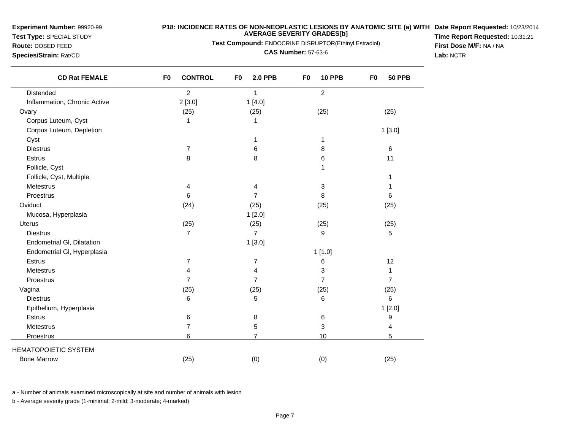**Test Type:** SPECIAL STUDY

#### **P18: INCIDENCE RATES OF NON-NEOPLASTIC LESIONS BY ANATOMIC SITE (a) WITH AVERAGE SEVERITY GRADES[b] Date Report Requested:** 10/23/2014 **Time Report Requested:** 10:31:21

**Test Compound:** ENDOCRINE DISRUPTOR(Ethinyl Estradiol)

**Route:** DOSED FEED**Species/Strain:** Rat/CD

**CAS Number:** 57-63-6

**First Dose M/F:** NA / NA**Lab:** NCTR

| <b>CD Rat FEMALE</b>         | F <sub>0</sub><br><b>CONTROL</b> | F <sub>0</sub><br><b>2.0 PPB</b> | F <sub>0</sub><br><b>10 PPB</b> | F <sub>0</sub><br><b>50 PPB</b> |
|------------------------------|----------------------------------|----------------------------------|---------------------------------|---------------------------------|
| Distended                    | $\overline{2}$                   | 1                                | $\overline{2}$                  |                                 |
| Inflammation, Chronic Active | 2[3.0]                           | 1[4.0]                           |                                 |                                 |
| Ovary                        | (25)                             | (25)                             | (25)                            | (25)                            |
| Corpus Luteum, Cyst          | 1                                | 1                                |                                 |                                 |
| Corpus Luteum, Depletion     |                                  |                                  |                                 | 1[3.0]                          |
| Cyst                         |                                  | 1                                | 1                               |                                 |
| <b>Diestrus</b>              | 7                                | 6                                | 8                               | 6                               |
| Estrus                       | 8                                | 8                                | 6                               | 11                              |
| Follicle, Cyst               |                                  |                                  | 1                               |                                 |
| Follicle, Cyst, Multiple     |                                  |                                  |                                 |                                 |
| Metestrus                    | 4                                | 4                                | 3                               | 1                               |
| Proestrus                    | 6                                | 7                                | 8                               | 6                               |
| Oviduct                      | (24)                             | (25)                             | (25)                            | (25)                            |
| Mucosa, Hyperplasia          |                                  | 1[2.0]                           |                                 |                                 |
| <b>Uterus</b>                | (25)                             | (25)                             | (25)                            | (25)                            |
| <b>Diestrus</b>              | $\overline{7}$                   | $\overline{7}$                   | 9                               | 5                               |
| Endometrial GI, Dilatation   |                                  | 1[3.0]                           |                                 |                                 |
| Endometrial GI, Hyperplasia  |                                  |                                  | 1[1.0]                          |                                 |
| Estrus                       | $\overline{7}$                   | 7                                | 6                               | 12                              |
| <b>Metestrus</b>             | 4                                | 4                                | 3                               | $\mathbf{1}$                    |
| Proestrus                    | $\overline{7}$                   | $\overline{7}$                   | $\overline{7}$                  | $\overline{7}$                  |
| Vagina                       | (25)                             | (25)                             | (25)                            | (25)                            |
| <b>Diestrus</b>              | 6                                | 5                                | 6                               | 6                               |
| Epithelium, Hyperplasia      |                                  |                                  |                                 | 1[2.0]                          |
| Estrus                       | 6                                | 8                                | 6                               | 9                               |
| Metestrus                    | 7                                | 5                                | 3                               | 4                               |
| Proestrus                    | 6                                | $\overline{7}$                   | 10                              | 5                               |
| <b>HEMATOPOIETIC SYSTEM</b>  |                                  |                                  |                                 |                                 |
| <b>Bone Marrow</b>           | (25)                             | (0)                              | (0)                             | (25)                            |

a - Number of animals examined microscopically at site and number of animals with lesion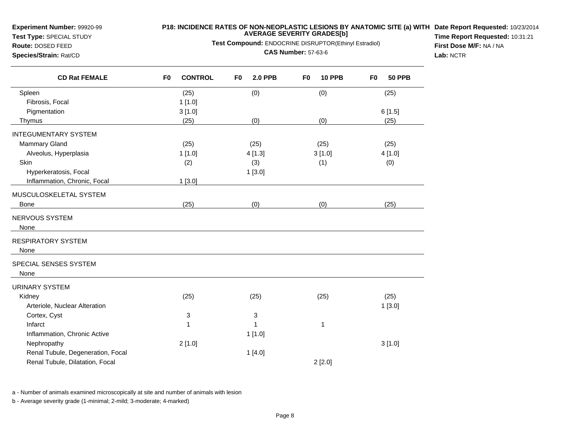**Test Type:** SPECIAL STUDY

# **Route:** DOSED FEED**Species/Strain:** Rat/CD

# **P18: INCIDENCE RATES OF NON-NEOPLASTIC LESIONS BY ANATOMIC SITE (a) WITH AVERAGE SEVERITY GRADES[b] Date Report Requested:** 10/23/2014

**Test Compound:** ENDOCRINE DISRUPTOR(Ethinyl Estradiol)

**CAS Number:** 57-63-6

**Time Report Requested:** 10:31:21**First Dose M/F:** NA / NA**Lab:** NCTR

| <b>CD Rat FEMALE</b>              | <b>CONTROL</b><br>F <sub>0</sub> | <b>2.0 PPB</b><br>F <sub>0</sub> | <b>10 PPB</b><br>F <sub>0</sub> | <b>50 PPB</b><br>F <sub>0</sub> |
|-----------------------------------|----------------------------------|----------------------------------|---------------------------------|---------------------------------|
| Spleen                            | (25)                             | (0)                              | (0)                             | (25)                            |
| Fibrosis, Focal                   | 1[1.0]                           |                                  |                                 |                                 |
| Pigmentation                      | 3[1.0]                           |                                  |                                 | 6[1.5]                          |
| Thymus                            | (25)                             | (0)                              | (0)                             | (25)                            |
| <b>INTEGUMENTARY SYSTEM</b>       |                                  |                                  |                                 |                                 |
| Mammary Gland                     | (25)                             | (25)                             | (25)                            | (25)                            |
| Alveolus, Hyperplasia             | 1[1.0]                           | 4[1.3]                           | 3[1.0]                          | 4[1.0]                          |
| Skin                              | (2)                              | (3)                              | (1)                             | (0)                             |
| Hyperkeratosis, Focal             |                                  | 1[3.0]                           |                                 |                                 |
| Inflammation, Chronic, Focal      | 1[3.0]                           |                                  |                                 |                                 |
| MUSCULOSKELETAL SYSTEM            |                                  |                                  |                                 |                                 |
| <b>Bone</b>                       | (25)                             | (0)                              | (0)                             | (25)                            |
| NERVOUS SYSTEM                    |                                  |                                  |                                 |                                 |
| None                              |                                  |                                  |                                 |                                 |
| <b>RESPIRATORY SYSTEM</b>         |                                  |                                  |                                 |                                 |
| None                              |                                  |                                  |                                 |                                 |
| SPECIAL SENSES SYSTEM             |                                  |                                  |                                 |                                 |
| None                              |                                  |                                  |                                 |                                 |
| <b>URINARY SYSTEM</b>             |                                  |                                  |                                 |                                 |
| Kidney                            | (25)                             | (25)                             | (25)                            | (25)                            |
| Arteriole, Nuclear Alteration     |                                  |                                  |                                 | 1[3.0]                          |
| Cortex, Cyst                      | 3                                | 3                                |                                 |                                 |
| Infarct                           | 1                                | 1                                | $\mathbf{1}$                    |                                 |
| Inflammation, Chronic Active      |                                  | 1[1.0]                           |                                 |                                 |
| Nephropathy                       | 2[1.0]                           |                                  |                                 | 3[1.0]                          |
| Renal Tubule, Degeneration, Focal |                                  | 1[4.0]                           |                                 |                                 |
| Renal Tubule, Dilatation, Focal   |                                  |                                  | 2[2.0]                          |                                 |
|                                   |                                  |                                  |                                 |                                 |

a - Number of animals examined microscopically at site and number of animals with lesion